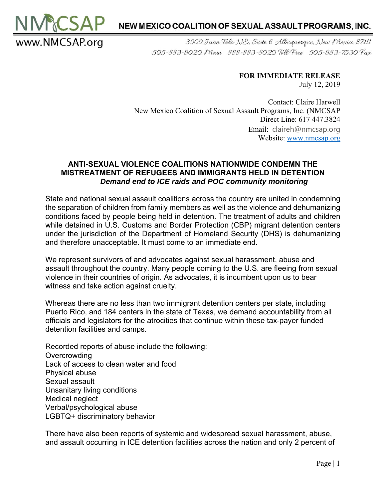

3909 Juan Tabo NE, Suite 6 Albuquerque, New Mexico 87111 505-883-8020 Main 888-883-8020 Toll-Free 505-883-7530 Fax

## **FOR IMMEDIATE RELEASE**  July 12, 2019

Contact: Claire Harwell New Mexico Coalition of Sexual Assault Programs, Inc. (NMCSAP Direct Line: 617 447.3824 Email: claireh@nmcsap.org Website: www.nmcsap.org

## **ANTI-SEXUAL VIOLENCE COALITIONS NATIONWIDE CONDEMN THE MISTREATMENT OF REFUGEES AND IMMIGRANTS HELD IN DETENTION**  *Demand end to ICE raids and POC community monitoring*

State and national sexual assault coalitions across the country are united in condemning the separation of children from family members as well as the violence and dehumanizing conditions faced by people being held in detention. The treatment of adults and children while detained in U.S. Customs and Border Protection (CBP) migrant detention centers under the jurisdiction of the Department of Homeland Security (DHS) is dehumanizing and therefore unacceptable. It must come to an immediate end.

We represent survivors of and advocates against sexual harassment, abuse and assault throughout the country. Many people coming to the U.S. are fleeing from sexual violence in their countries of origin. As advocates, it is incumbent upon us to bear witness and take action against cruelty.

Whereas there are no less than two immigrant detention centers per state, including Puerto Rico, and 184 centers in the state of Texas, we demand accountability from all officials and legislators for the atrocities that continue within these tax-payer funded detention facilities and camps.

Recorded reports of abuse include the following: **Overcrowding** Lack of access to clean water and food Physical abuse Sexual assault Unsanitary living conditions Medical neglect Verbal/psychological abuse LGBTQ+ discriminatory behavior

www.NMCSAP.org

There have also been reports of systemic and widespread sexual harassment, abuse, and assault occurring in ICE detention facilities across the nation and only 2 percent of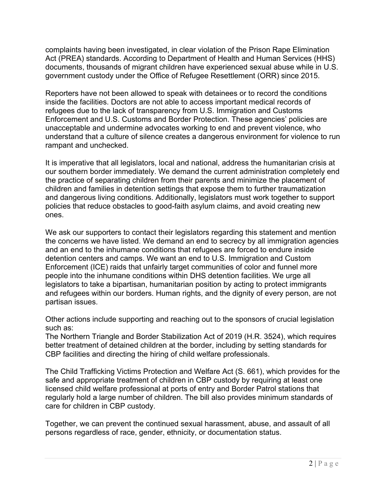complaints having been investigated, in clear violation of the Prison Rape Elimination Act (PREA) standards. According to Department of Health and Human Services (HHS) documents, thousands of migrant children have experienced sexual abuse while in U.S. government custody under the Office of Refugee Resettlement (ORR) since 2015.

Reporters have not been allowed to speak with detainees or to record the conditions inside the facilities. Doctors are not able to access important medical records of refugees due to the lack of transparency from U.S. Immigration and Customs Enforcement and U.S. Customs and Border Protection. These agencies' policies are unacceptable and undermine advocates working to end and prevent violence, who understand that a culture of silence creates a dangerous environment for violence to run rampant and unchecked.

It is imperative that all legislators, local and national, address the humanitarian crisis at our southern border immediately. We demand the current administration completely end the practice of separating children from their parents and minimize the placement of children and families in detention settings that expose them to further traumatization and dangerous living conditions. Additionally, legislators must work together to support policies that reduce obstacles to good-faith asylum claims, and avoid creating new ones.

We ask our supporters to contact their legislators regarding this statement and mention the concerns we have listed. We demand an end to secrecy by all immigration agencies and an end to the inhumane conditions that refugees are forced to endure inside detention centers and camps. We want an end to U.S. Immigration and Custom Enforcement (ICE) raids that unfairly target communities of color and funnel more people into the inhumane conditions within DHS detention facilities. We urge all legislators to take a bipartisan, humanitarian position by acting to protect immigrants and refugees within our borders. Human rights, and the dignity of every person, are not partisan issues.

Other actions include supporting and reaching out to the sponsors of crucial legislation such as:

The Northern Triangle and Border Stabilization Act of 2019 (H.R. 3524), which requires better treatment of detained children at the border, including by setting standards for CBP facilities and directing the hiring of child welfare professionals.

The Child Trafficking Victims Protection and Welfare Act (S. 661), which provides for the safe and appropriate treatment of children in CBP custody by requiring at least one licensed child welfare professional at ports of entry and Border Patrol stations that regularly hold a large number of children. The bill also provides minimum standards of care for children in CBP custody.

Together, we can prevent the continued sexual harassment, abuse, and assault of all persons regardless of race, gender, ethnicity, or documentation status.